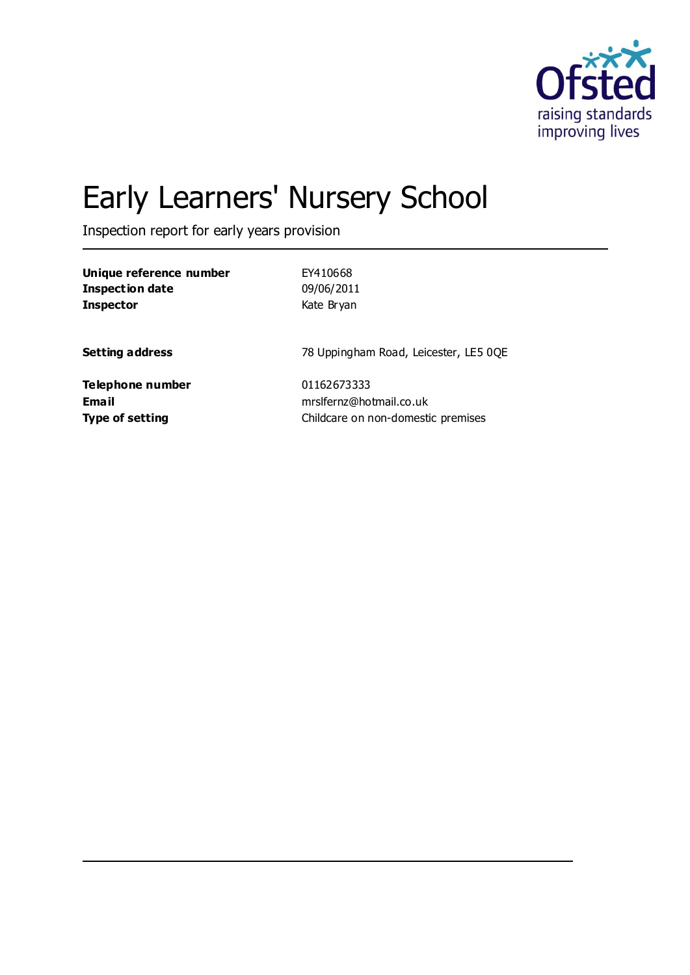

# Early Learners' Nursery School

Inspection report for early years provision

| Unique reference number | EY410668                              |
|-------------------------|---------------------------------------|
| <b>Inspection date</b>  | 09/06/2011                            |
| <b>Inspector</b>        | Kate Bryan                            |
| <b>Setting address</b>  | 78 Uppingham Road, Leicester, LE5 0QE |
| Telephone number        | 01162673333                           |
| <b>Email</b>            | mrslfernz@hotmail.co.uk               |
| <b>Type of setting</b>  | Childcare on non-domestic premises    |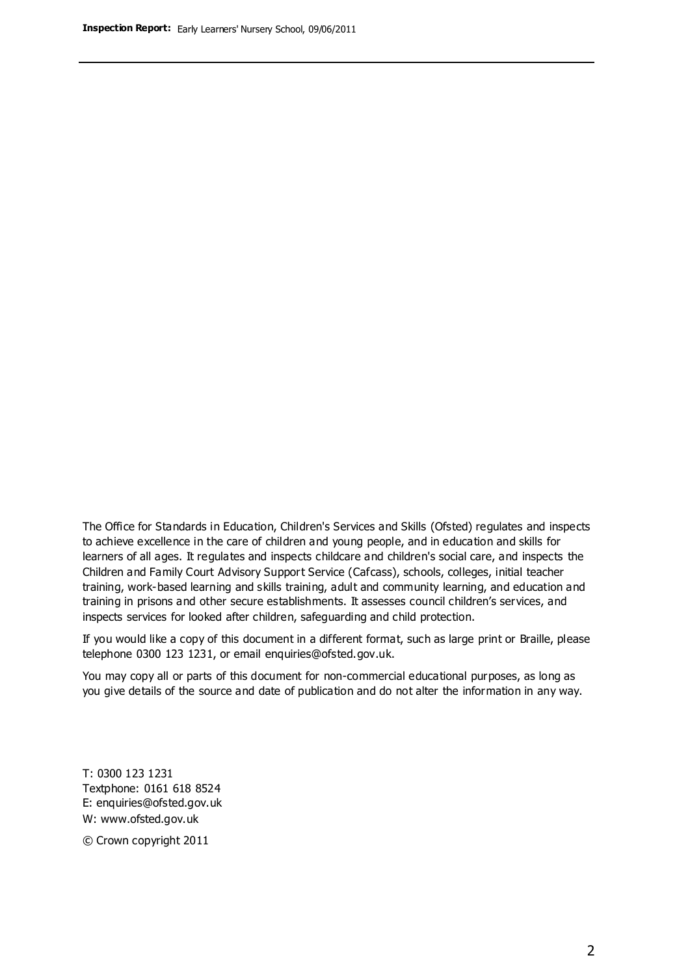The Office for Standards in Education, Children's Services and Skills (Ofsted) regulates and inspects to achieve excellence in the care of children and young people, and in education and skills for learners of all ages. It regulates and inspects childcare and children's social care, and inspects the Children and Family Court Advisory Support Service (Cafcass), schools, colleges, initial teacher training, work-based learning and skills training, adult and community learning, and education and training in prisons and other secure establishments. It assesses council children's services, and inspects services for looked after children, safeguarding and child protection.

If you would like a copy of this document in a different format, such as large print or Braille, please telephone 0300 123 1231, or email enquiries@ofsted.gov.uk.

You may copy all or parts of this document for non-commercial educational purposes, as long as you give details of the source and date of publication and do not alter the information in any way.

T: 0300 123 1231 Textphone: 0161 618 8524 E: enquiries@ofsted.gov.uk W: [www.ofsted.gov.uk](http://www.ofsted.gov.uk/)

© Crown copyright 2011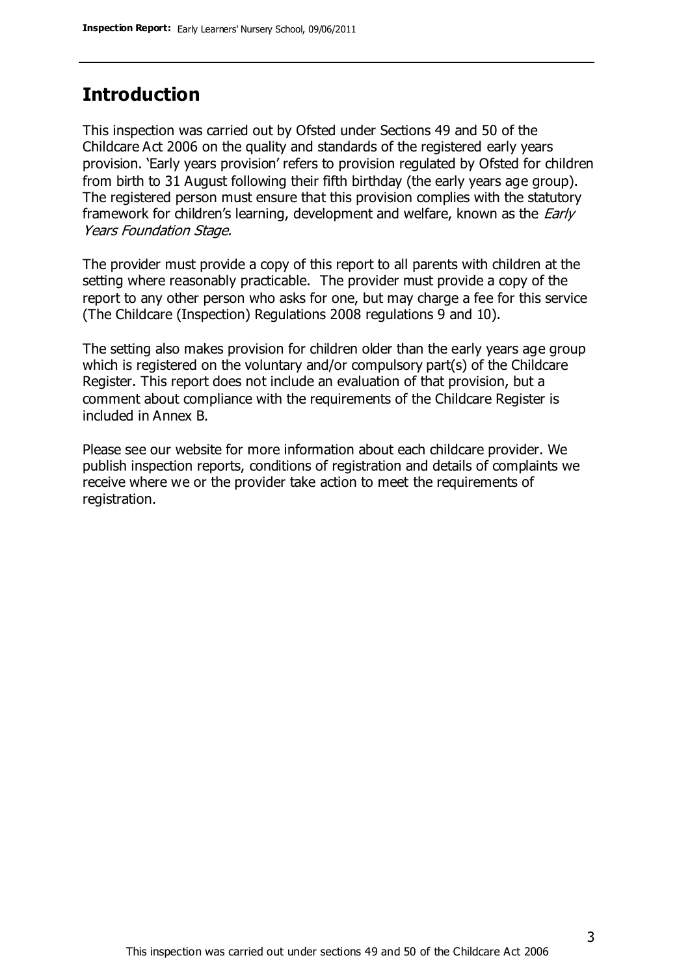## **Introduction**

This inspection was carried out by Ofsted under Sections 49 and 50 of the Childcare Act 2006 on the quality and standards of the registered early years provision. 'Early years provision' refers to provision regulated by Ofsted for children from birth to 31 August following their fifth birthday (the early years age group). The registered person must ensure that this provision complies with the statutory framework for children's learning, development and welfare, known as the *Early* Years Foundation Stage.

The provider must provide a copy of this report to all parents with children at the setting where reasonably practicable. The provider must provide a copy of the report to any other person who asks for one, but may charge a fee for this service (The Childcare (Inspection) Regulations 2008 regulations 9 and 10).

The setting also makes provision for children older than the early years age group which is registered on the voluntary and/or compulsory part(s) of the Childcare Register. This report does not include an evaluation of that provision, but a comment about compliance with the requirements of the Childcare Register is included in Annex B.

Please see our website for more information about each childcare provider. We publish inspection reports, conditions of registration and details of complaints we receive where we or the provider take action to meet the requirements of registration.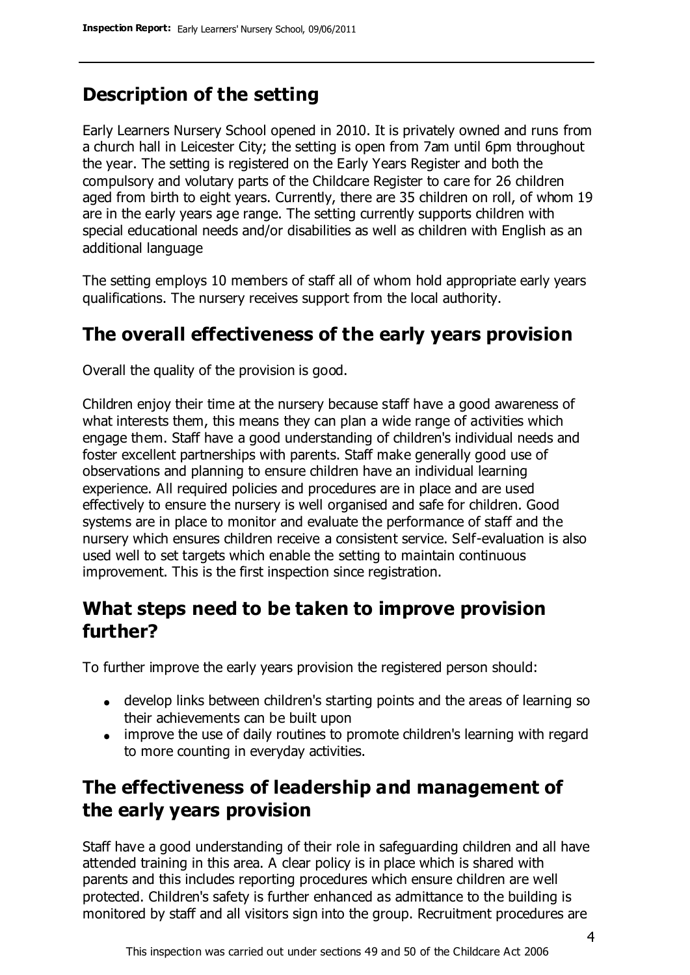## **Description of the setting**

Early Learners Nursery School opened in 2010. It is privately owned and runs from a church hall in Leicester City; the setting is open from 7am until 6pm throughout the year. The setting is registered on the Early Years Register and both the compulsory and volutary parts of the Childcare Register to care for 26 children aged from birth to eight years. Currently, there are 35 children on roll, of whom 19 are in the early years age range. The setting currently supports children with special educational needs and/or disabilities as well as children with English as an additional language

The setting employs 10 members of staff all of whom hold appropriate early years qualifications. The nursery receives support from the local authority.

## **The overall effectiveness of the early years provision**

Overall the quality of the provision is good.

Children enjoy their time at the nursery because staff have a good awareness of what interests them, this means they can plan a wide range of activities which engage them. Staff have a good understanding of children's individual needs and foster excellent partnerships with parents. Staff make generally good use of observations and planning to ensure children have an individual learning experience. All required policies and procedures are in place and are used effectively to ensure the nursery is well organised and safe for children. Good systems are in place to monitor and evaluate the performance of staff and the nursery which ensures children receive a consistent service. Self-evaluation is also used well to set targets which enable the setting to maintain continuous improvement. This is the first inspection since registration.

## **What steps need to be taken to improve provision further?**

To further improve the early years provision the registered person should:

- develop links between children's starting points and the areas of learning so their achievements can be built upon
- improve the use of daily routines to promote children's learning with regard to more counting in everyday activities.

# **The effectiveness of leadership and management of the early years provision**

Staff have a good understanding of their role in safeguarding children and all have attended training in this area. A clear policy is in place which is shared with parents and this includes reporting procedures which ensure children are well protected. Children's safety is further enhanced as admittance to the building is monitored by staff and all visitors sign into the group. Recruitment procedures are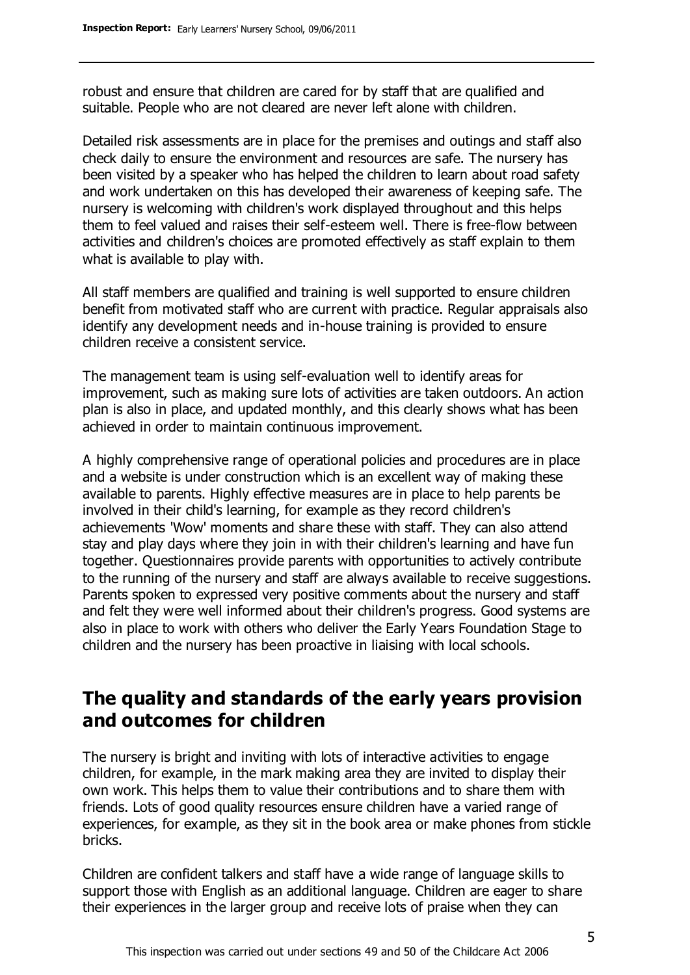robust and ensure that children are cared for by staff that are qualified and suitable. People who are not cleared are never left alone with children.

Detailed risk assessments are in place for the premises and outings and staff also check daily to ensure the environment and resources are safe. The nursery has been visited by a speaker who has helped the children to learn about road safety and work undertaken on this has developed their awareness of keeping safe. The nursery is welcoming with children's work displayed throughout and this helps them to feel valued and raises their self-esteem well. There is free-flow between activities and children's choices are promoted effectively as staff explain to them what is available to play with.

All staff members are qualified and training is well supported to ensure children benefit from motivated staff who are current with practice. Regular appraisals also identify any development needs and in-house training is provided to ensure children receive a consistent service.

The management team is using self-evaluation well to identify areas for improvement, such as making sure lots of activities are taken outdoors. An action plan is also in place, and updated monthly, and this clearly shows what has been achieved in order to maintain continuous improvement.

A highly comprehensive range of operational policies and procedures are in place and a website is under construction which is an excellent way of making these available to parents. Highly effective measures are in place to help parents be involved in their child's learning, for example as they record children's achievements 'Wow' moments and share these with staff. They can also attend stay and play days where they join in with their children's learning and have fun together. Questionnaires provide parents with opportunities to actively contribute to the running of the nursery and staff are always available to receive suggestions. Parents spoken to expressed very positive comments about the nursery and staff and felt they were well informed about their children's progress. Good systems are also in place to work with others who deliver the Early Years Foundation Stage to children and the nursery has been proactive in liaising with local schools.

## **The quality and standards of the early years provision and outcomes for children**

The nursery is bright and inviting with lots of interactive activities to engage children, for example, in the mark making area they are invited to display their own work. This helps them to value their contributions and to share them with friends. Lots of good quality resources ensure children have a varied range of experiences, for example, as they sit in the book area or make phones from stickle bricks.

Children are confident talkers and staff have a wide range of language skills to support those with English as an additional language. Children are eager to share their experiences in the larger group and receive lots of praise when they can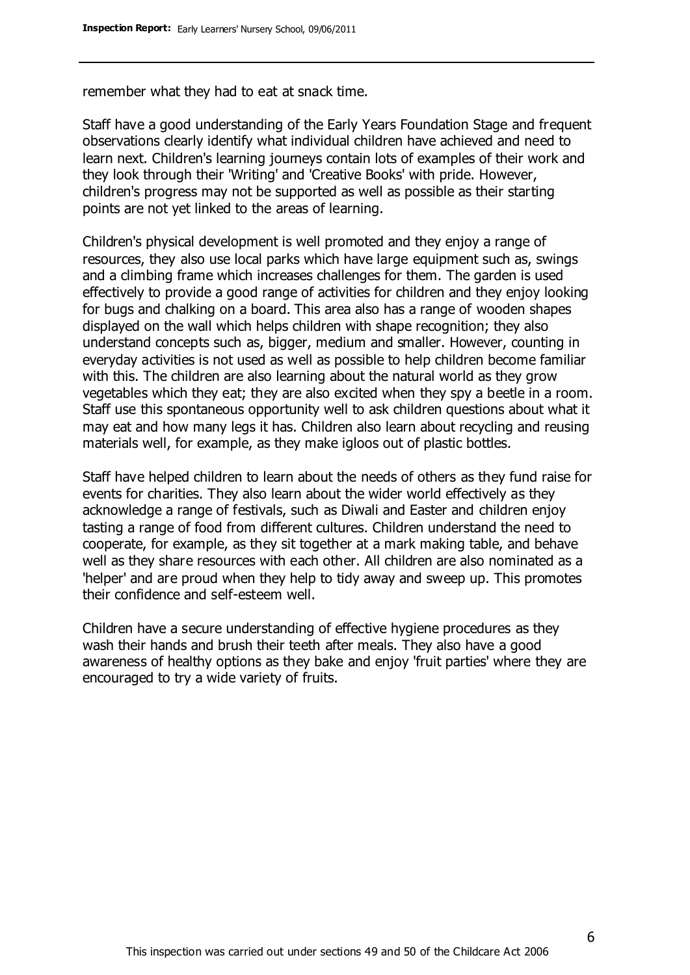remember what they had to eat at snack time.

Staff have a good understanding of the Early Years Foundation Stage and frequent observations clearly identify what individual children have achieved and need to learn next. Children's learning journeys contain lots of examples of their work and they look through their 'Writing' and 'Creative Books' with pride. However, children's progress may not be supported as well as possible as their starting points are not yet linked to the areas of learning.

Children's physical development is well promoted and they enjoy a range of resources, they also use local parks which have large equipment such as, swings and a climbing frame which increases challenges for them. The garden is used effectively to provide a good range of activities for children and they enjoy looking for bugs and chalking on a board. This area also has a range of wooden shapes displayed on the wall which helps children with shape recognition; they also understand concepts such as, bigger, medium and smaller. However, counting in everyday activities is not used as well as possible to help children become familiar with this. The children are also learning about the natural world as they grow vegetables which they eat; they are also excited when they spy a beetle in a room. Staff use this spontaneous opportunity well to ask children questions about what it may eat and how many legs it has. Children also learn about recycling and reusing materials well, for example, as they make igloos out of plastic bottles.

Staff have helped children to learn about the needs of others as they fund raise for events for charities. They also learn about the wider world effectively as they acknowledge a range of festivals, such as Diwali and Easter and children enjoy tasting a range of food from different cultures. Children understand the need to cooperate, for example, as they sit together at a mark making table, and behave well as they share resources with each other. All children are also nominated as a 'helper' and are proud when they help to tidy away and sweep up. This promotes their confidence and self-esteem well.

Children have a secure understanding of effective hygiene procedures as they wash their hands and brush their teeth after meals. They also have a good awareness of healthy options as they bake and enjoy 'fruit parties' where they are encouraged to try a wide variety of fruits.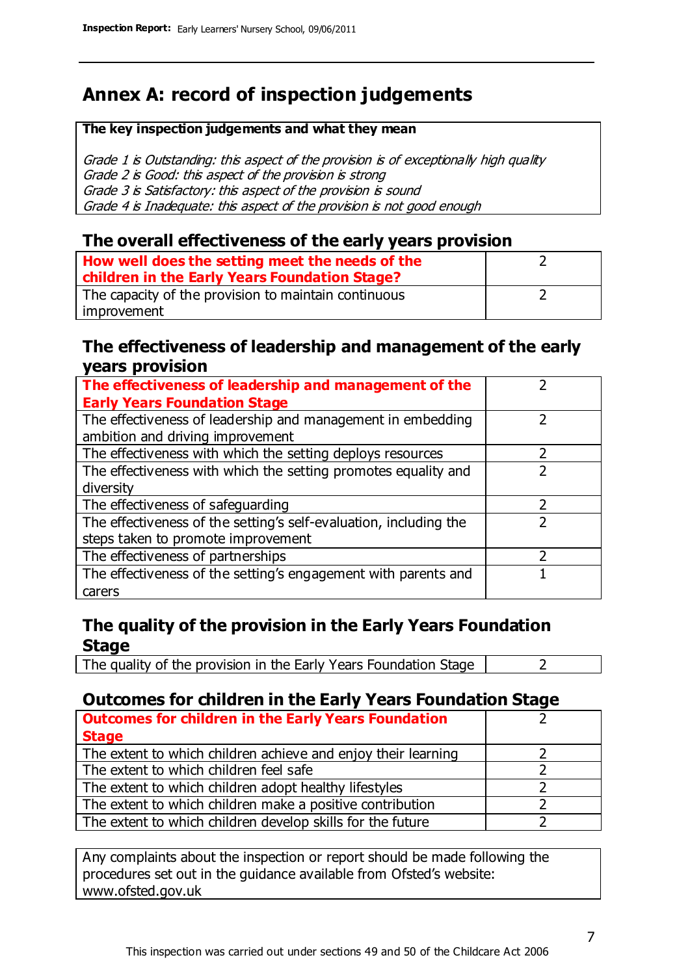# **Annex A: record of inspection judgements**

#### **The key inspection judgements and what they mean**

Grade 1 is Outstanding: this aspect of the provision is of exceptionally high quality Grade 2 is Good: this aspect of the provision is strong Grade 3 is Satisfactory: this aspect of the provision is sound Grade 4 is Inadequate: this aspect of the provision is not good enough

#### **The overall effectiveness of the early years provision**

| How well does the setting meet the needs of the      |  |
|------------------------------------------------------|--|
| children in the Early Years Foundation Stage?        |  |
| The capacity of the provision to maintain continuous |  |
| improvement                                          |  |

#### **The effectiveness of leadership and management of the early years provision**

| The effectiveness of leadership and management of the             |  |
|-------------------------------------------------------------------|--|
| <b>Early Years Foundation Stage</b>                               |  |
| The effectiveness of leadership and management in embedding       |  |
| ambition and driving improvement                                  |  |
| The effectiveness with which the setting deploys resources        |  |
| The effectiveness with which the setting promotes equality and    |  |
| diversity                                                         |  |
| The effectiveness of safeguarding                                 |  |
| The effectiveness of the setting's self-evaluation, including the |  |
| steps taken to promote improvement                                |  |
| The effectiveness of partnerships                                 |  |
| The effectiveness of the setting's engagement with parents and    |  |
| carers                                                            |  |

#### **The quality of the provision in the Early Years Foundation Stage**

The quality of the provision in the Early Years Foundation Stage  $\vert$  2

### **Outcomes for children in the Early Years Foundation Stage**

| <b>Outcomes for children in the Early Years Foundation</b>    |  |
|---------------------------------------------------------------|--|
| <b>Stage</b>                                                  |  |
| The extent to which children achieve and enjoy their learning |  |
| The extent to which children feel safe                        |  |
| The extent to which children adopt healthy lifestyles         |  |
| The extent to which children make a positive contribution     |  |
| The extent to which children develop skills for the future    |  |

Any complaints about the inspection or report should be made following the procedures set out in the guidance available from Ofsted's website: www.ofsted.gov.uk